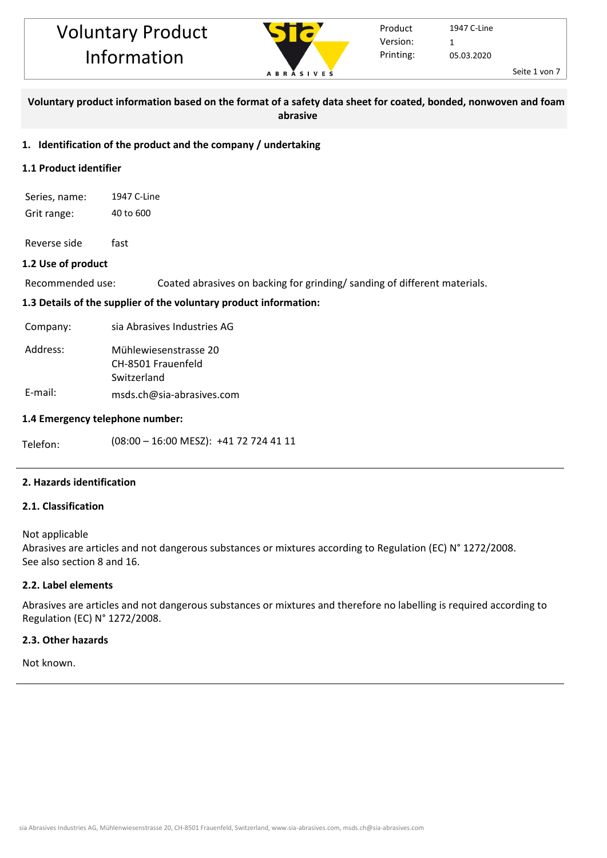

Seite 1 von 7

## **Voluntary product information based on the format of a safety data sheet for coated, bonded, nonwoven and foam abrasive**

## **1. Identification of the product and the company / undertaking**

## **1.1 Product identifier**

Series, name: 1947 C-Line Grit range: 40 to 600

Reverse side fast

## **1.2 Use of product**

Recommended use: Coated abrasives on backing for grinding/ sanding of different materials.

## **1.3 Details of the supplier of the voluntary product information:**

Company: sia Abrasives Industries AG

| Address: | Mühlewiesenstrasse 20 |  |  |  |  |  |
|----------|-----------------------|--|--|--|--|--|
|          | CH-8501 Frauenfeld    |  |  |  |  |  |
|          | Switzerland           |  |  |  |  |  |
| E modili | .                     |  |  |  |  |  |

E-mail: msds.ch@sia-abrasives.com

## **1.4 Emergency telephone number:**

Telefon:  $(08:00 - 16:00 \text{ MESZ}): +41727244111$ 

## **2. Hazards identification**

## **2.1. Classification**

Not applicable

Abrasives are articles and not dangerous substances or mixtures according to Regulation (EC) N° 1272/2008. See also section 8 and 16.

## **2.2. Label elements**

Abrasives are articles and not dangerous substances or mixtures and therefore no labelling is required according to Regulation (EC) N° 1272/2008.

## **2.3. Other hazards**

Not known.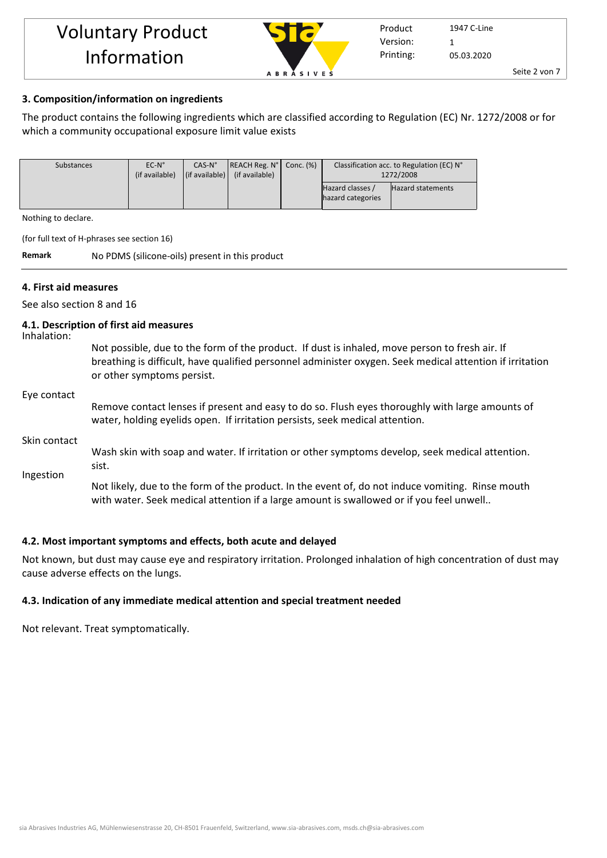

Seite 2 von 7

## **3. Composition/information on ingredients**

The product contains the following ingredients which are classified according to Regulation (EC) Nr. 1272/2008 or for which a community occupational exposure limit value exists

| Substances | $EC-N^{\circ}$ | $CAS-N°$ | $ REACH Reg. No $ Conc. $(\%)$                                  | Classification acc. to Regulation (EC) N° |                   |
|------------|----------------|----------|-----------------------------------------------------------------|-------------------------------------------|-------------------|
|            | (if available) |          | $\left  \right $ (if available) $\left  \right $ (if available) | 1272/2008                                 |                   |
|            |                |          |                                                                 | Hazard classes /                          | Hazard statements |
|            |                |          |                                                                 | hazard categories                         |                   |
|            |                |          |                                                                 |                                           |                   |

Nothing to declare.

(for full text of H-phrases see section 16)

**Remark** No PDMS (silicone-oils) present in this product

#### **4. First aid measures**

See also section 8 and 16

#### **4.1. Description of first aid measures**

Inhalation:

Not possible, due to the form of the product. If dust is inhaled, move person to fresh air. If breathing is difficult, have qualified personnel administer oxygen. Seek medical attention if irritation or other symptoms persist.

#### Eye contact

Remove contact lenses if present and easy to do so. Flush eyes thoroughly with large amounts of water, holding eyelids open. If irritation persists, seek medical attention.

#### Skin contact

Wash skin with soap and water. If irritation or other symptoms develop, seek medical attention. sist.

Ingestion

Not likely, due to the form of the product. In the event of, do not induce vomiting. Rinse mouth with water. Seek medical attention if a large amount is swallowed or if you feel unwell..

## **4.2. Most important symptoms and effects, both acute and delayed**

Not known, but dust may cause eye and respiratory irritation. Prolonged inhalation of high concentration of dust may cause adverse effects on the lungs.

## **4.3. Indication of any immediate medical attention and special treatment needed**

Not relevant. Treat symptomatically.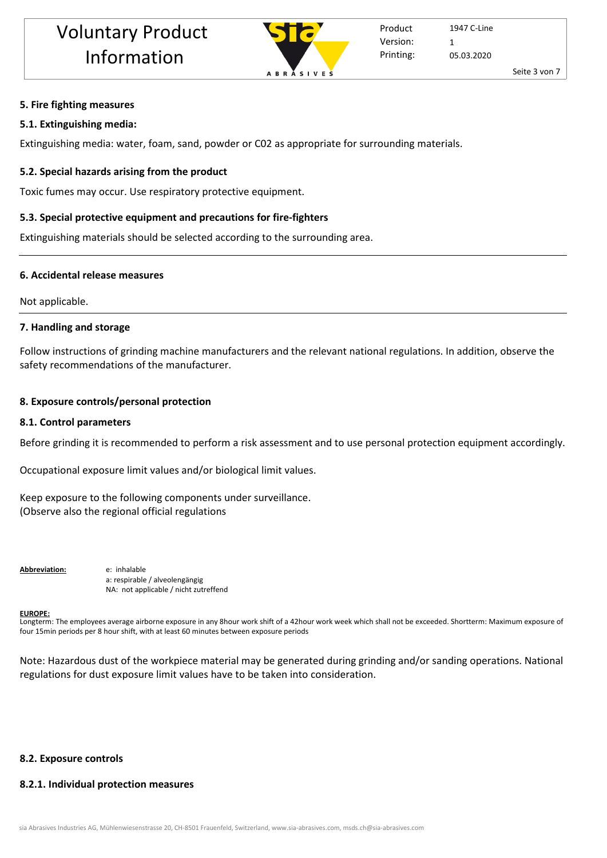

## **5. Fire fighting measures**

## **5.1. Extinguishing media:**

Extinguishing media: water, foam, sand, powder or C02 as appropriate for surrounding materials.

# **5.2. Special hazards arising from the product**

Toxic fumes may occur. Use respiratory protective equipment.

# **5.3. Special protective equipment and precautions for fire-fighters**

Extinguishing materials should be selected according to the surrounding area.

# **6. Accidental release measures**

Not applicable.

# **7. Handling and storage**

Follow instructions of grinding machine manufacturers and the relevant national regulations. In addition, observe the safety recommendations of the manufacturer.

# **8. Exposure controls/personal protection**

## **8.1. Control parameters**

Before grinding it is recommended to perform a risk assessment and to use personal protection equipment accordingly.

Occupational exposure limit values and/or biological limit values.

Keep exposure to the following components under surveillance. (Observe also the regional official regulations

**Abbreviation:** e: inhalable

a: respirable / alveolengängig NA: not applicable / nicht zutreffend

## **EUROPE:**

Longterm: The employees average airborne exposure in any 8hour work shift of a 42hour work week which shall not be exceeded. Shortterm: Maximum exposure of four 15min periods per 8 hour shift, with at least 60 minutes between exposure periods

Note: Hazardous dust of the workpiece material may be generated during grinding and/or sanding operations. National regulations for dust exposure limit values have to be taken into consideration.

# **8.2. Exposure controls**

# **8.2.1. Individual protection measures**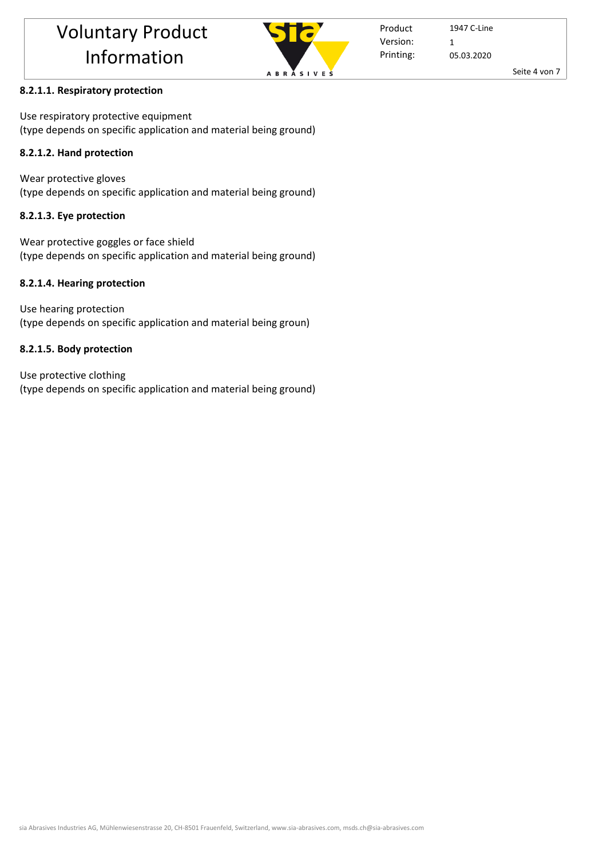

Seite 4 von 7

## **8.2.1.1. Respiratory protection**

Use respiratory protective equipment (type depends on specific application and material being ground)

## **8.2.1.2. Hand protection**

Wear protective gloves (type depends on specific application and material being ground)

## **8.2.1.3. Eye protection**

Wear protective goggles or face shield (type depends on specific application and material being ground)

## **8.2.1.4. Hearing protection**

Use hearing protection (type depends on specific application and material being groun)

## **8.2.1.5. Body protection**

Use protective clothing (type depends on specific application and material being ground)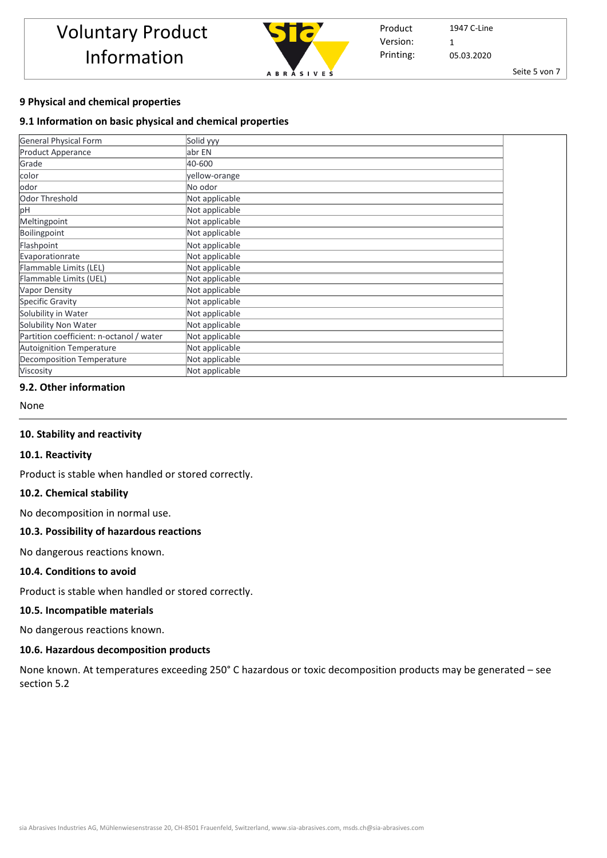

Seite 5 von 7

## **9 Physical and chemical properties**

#### **9.1 Information on basic physical and chemical properties**

| <b>General Physical Form</b>             | Solid yyy      |
|------------------------------------------|----------------|
| Product Apperance                        | abr EN         |
| Grade                                    | 40-600         |
| color                                    | yellow-orange  |
| odor                                     | No odor        |
| Odor Threshold                           | Not applicable |
| рH                                       | Not applicable |
| Meltingpoint                             | Not applicable |
| Boilingpoint                             | Not applicable |
| Flashpoint                               | Not applicable |
| Evaporationrate                          | Not applicable |
| Flammable Limits (LEL)                   | Not applicable |
| Flammable Limits (UEL)                   | Not applicable |
| <b>Vapor Density</b>                     | Not applicable |
| Specific Gravity                         | Not applicable |
| Solubility in Water                      | Not applicable |
| Solubility Non Water                     | Not applicable |
| Partition coefficient: n-octanol / water | Not applicable |
| <b>Autoignition Temperature</b>          | Not applicable |
| <b>Decomposition Temperature</b>         | Not applicable |
| Viscosity                                | Not applicable |

#### **9.2. Other information**

None

#### **10. Stability and reactivity**

#### **10.1. Reactivity**

Product is stable when handled or stored correctly.

#### **10.2. Chemical stability**

No decomposition in normal use.

## **10.3. Possibility of hazardous reactions**

No dangerous reactions known.

#### **10.4. Conditions to avoid**

Product is stable when handled or stored correctly.

#### **10.5. Incompatible materials**

No dangerous reactions known.

#### **10.6. Hazardous decomposition products**

None known. At temperatures exceeding 250° C hazardous or toxic decomposition products may be generated – see section 5.2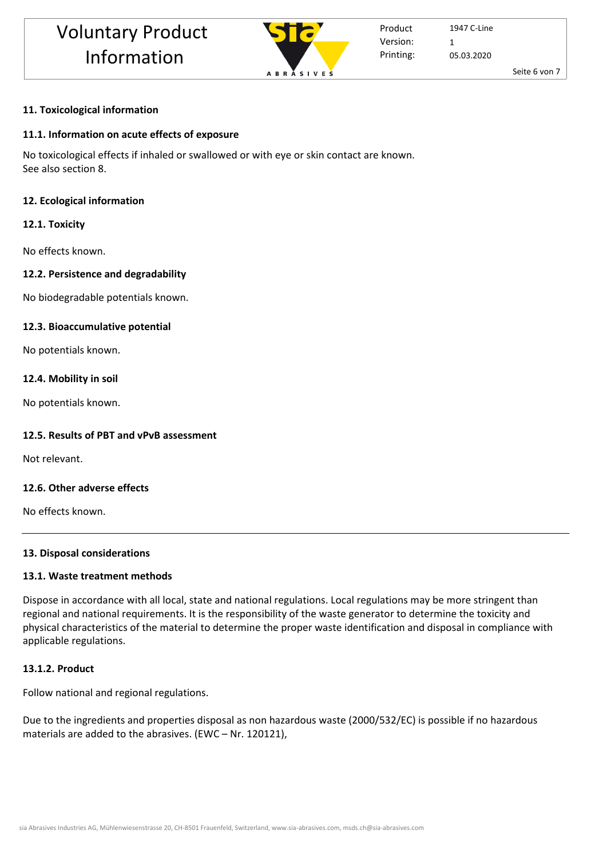

Product Printing: Version: 1

1947 C-Line 05.03.2020

Seite 6 von 7

# **11. Toxicological information**

# **11.1. Information on acute effects of exposure**

No toxicological effects if inhaled or swallowed or with eye or skin contact are known. See also section 8.

# **12. Ecological information**

# **12.1. Toxicity**

No effects known.

# **12.2. Persistence and degradability**

No biodegradable potentials known.

# **12.3. Bioaccumulative potential**

No potentials known.

# **12.4. Mobility in soil**

No potentials known.

# **12.5. Results of PBT and vPvB assessment**

Not relevant.

# **12.6. Other adverse effects**

No effects known.

# **13. Disposal considerations**

# **13.1. Waste treatment methods**

Dispose in accordance with all local, state and national regulations. Local regulations may be more stringent than regional and national requirements. It is the responsibility of the waste generator to determine the toxicity and physical characteristics of the material to determine the proper waste identification and disposal in compliance with applicable regulations.

# **13.1.2. Product**

Follow national and regional regulations.

Due to the ingredients and properties disposal as non hazardous waste (2000/532/EC) is possible if no hazardous materials are added to the abrasives. (EWC – Nr. 120121),